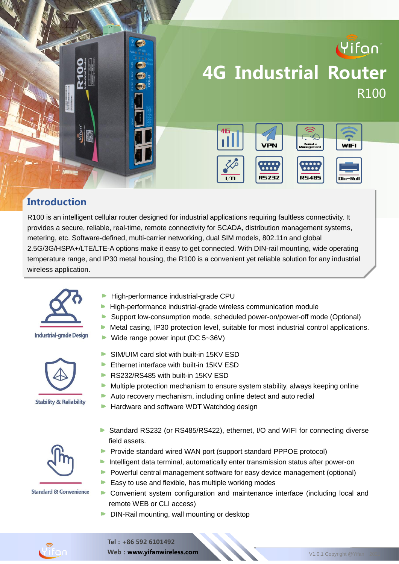

#### **Introduction**

R100 is an intelligent cellular router designed for industrial applications requiring faultless connectivity. It provides a secure, reliable, real-time, remote connectivity for SCADA, distribution management systems, metering, etc. Software-defined, multi-carrier networking, dual SIM models, 802.11n and global 2.5G/3G/HSPA+/LTE/LTE-A options make it easy to get connected. With DIN-rail mounting, wide operating temperature range, and IP30 metal housing, the R100 is a convenient yet reliable solution for any industrial wireless application.



#### **Industrial-grade Design**





- High-performance industrial-grade wireless communication module
- Support low-consumption mode, scheduled power-on/power-off mode (Optional)
- $\blacktriangleright$  Metal casing, IP30 protection level, suitable for most industrial control applications.
- ▶ Wide range power input ( $DC$  5~36V)
- b. SIM/UIM card slot with built-in 15KV ESD
- b. Ethernet interface with built-in 15KV ESD
- RS232/RS485 with built-in 15KV ESD
- $\blacktriangleright$  Multiple protection mechanism to ensure system stability, always keeping online
- Auto recovery mechanism, including online detect and auto redial
- ▶ Hardware and software WDT Watchdog design



**Standard & Convenience** 

- Standard RS232 (or RS485/RS422), ethernet, I/O and WIFI for connecting diverse field assets.
- **Provide standard wired WAN port (support standard PPPOE protocol)**
- **Intelligent data terminal, automatically enter transmission status after power-on**
- **P** Powerful central management software for easy device management (optional)
- Easy to use and flexible, has multiple working modes
- Convenient system configuration and maintenance interface (including local and remote WEB or CLI access)
- DIN-Rail mounting, wall mounting or desktop



Web: www.yifanwireless.com V1.0.1 Copyright @Yifan 2021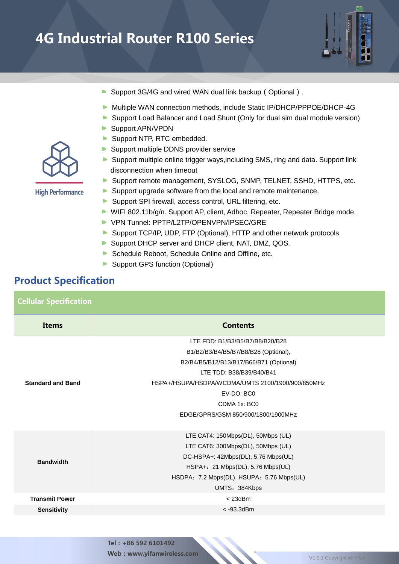

- Support 3G/4G and wired WAN dual link backup (Optional).
- Multiple WAN connection methods, include Static IP/DHCP/PPPOE/DHCP-4G
- Support Load Balancer and Load Shunt (Only for dual sim dual module version)
- Support APN/VPDN
- Support NTP, RTC embedded.
- Support multiple DDNS provider service
- Support multiple online trigger ways, including SMS, ring and data. Support link disconnection when timeout
- Support remote management, SYSLOG, SNMP, TELNET, SSHD, HTTPS, etc.
- Support upgrade software from the local and remote maintenance.
- Support SPI firewall, access control, URL filtering, etc.
- WIFI 802.11b/g/n. Support AP, client, Adhoc, Repeater, Repeater Bridge mode.
- **VPN Tunnel: PPTP/L2TP/OPENVPN/IPSEC/GRE**
- Support TCP/IP, UDP, FTP (Optional), HTTP and other network protocols
- Support DHCP server and DHCP client, NAT, DMZ, QOS.
- Schedule Reboot, Schedule Online and Offline, etc.
- ▶ Support GPS function (Optional)

#### Product Specification

| <b>Cellular Specification</b> |                                                                                                                                                                                                                                                                         |  |  |  |
|-------------------------------|-------------------------------------------------------------------------------------------------------------------------------------------------------------------------------------------------------------------------------------------------------------------------|--|--|--|
| <b>Items</b>                  | <b>Contents</b>                                                                                                                                                                                                                                                         |  |  |  |
| <b>Standard and Band</b>      | LTE FDD: B1/B3/B5/B7/B8/B20/B28<br>B1/B2/B3/B4/B5/B7/B8/B28 (Optional),<br>B2/B4/B5/B12/B13/B17/B66/B71 (Optional)<br>LTE TDD: B38/B39/B40/B41<br>HSPA+/HSUPA/HSDPA/WCDMA/UMTS 2100/1900/900/850MHz<br>EV-DO: BC0<br>CDMA 1x: BC0<br>EDGE/GPRS/GSM 850/900/1800/1900MHz |  |  |  |
| <b>Bandwidth</b>              | LTE CAT4: 150Mbps(DL), 50Mbps (UL)<br>LTE CAT6: 300Mbps(DL), 50Mbps (UL)<br>DC-HSPA+: 42Mbps(DL), 5.76 Mbps(UL)<br>HSPA+: 21 Mbps(DL), 5.76 Mbps(UL)<br>HSDPA: 7.2 Mbps(DL), HSUPA: 5.76 Mbps(UL)<br>UMTS: 384Kbps                                                      |  |  |  |
| <b>Transmit Power</b>         | $<$ 23dBm                                                                                                                                                                                                                                                               |  |  |  |
| <b>Sensitivity</b>            | $< -93.3$ dBm                                                                                                                                                                                                                                                           |  |  |  |



**High Performance**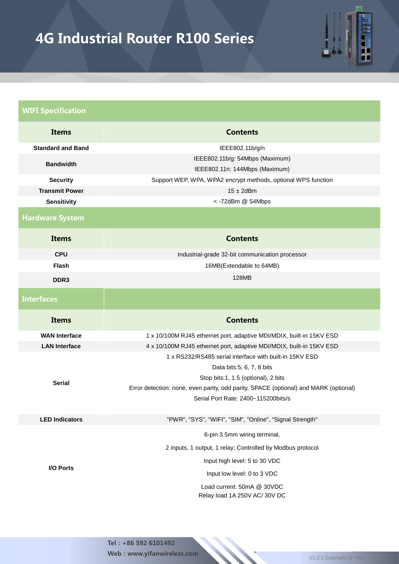

| <b>WIFI Specification</b> |                                                                                                                             |  |  |  |  |  |  |  |
|---------------------------|-----------------------------------------------------------------------------------------------------------------------------|--|--|--|--|--|--|--|
| <b>Items</b>              | <b>Contents</b>                                                                                                             |  |  |  |  |  |  |  |
| <b>Standard and Band</b>  | IEEE802.11b/g/n                                                                                                             |  |  |  |  |  |  |  |
| <b>Bandwidth</b>          | IEEE802.11b/g: 54Mbps (Maximum)                                                                                             |  |  |  |  |  |  |  |
|                           | IEEE802.11n: 144Mbps (Maximum)                                                                                              |  |  |  |  |  |  |  |
| <b>Security</b>           | Support WEP, WPA, WPA2 encrypt methods, optional WPS function                                                               |  |  |  |  |  |  |  |
| <b>Transmit Power</b>     | $15 \pm 2$ dBm                                                                                                              |  |  |  |  |  |  |  |
| <b>Sensitivity</b>        | <- 72dBm @ 54Mbps                                                                                                           |  |  |  |  |  |  |  |
| <b>Hardware System</b>    |                                                                                                                             |  |  |  |  |  |  |  |
| <b>Items</b>              | <b>Contents</b>                                                                                                             |  |  |  |  |  |  |  |
| <b>CPU</b>                | Industrial-grade 32-bit communication processor                                                                             |  |  |  |  |  |  |  |
| Flash                     | 16MB(Extendable to 64MB)                                                                                                    |  |  |  |  |  |  |  |
| DDR <sub>3</sub>          | 128MB                                                                                                                       |  |  |  |  |  |  |  |
| <b>Interfaces</b>         |                                                                                                                             |  |  |  |  |  |  |  |
| <b>Items</b>              | <b>Contents</b>                                                                                                             |  |  |  |  |  |  |  |
| <b>WAN Interface</b>      | 1 x 10/100M RJ45 ethernet port, adaptive MDI/MDIX, built-in 15KV ESD                                                        |  |  |  |  |  |  |  |
| <b>LAN Interface</b>      | 4 x 10/100M RJ45 ethernet port, adaptive MDI/MDIX, built-in 15KV ESD                                                        |  |  |  |  |  |  |  |
|                           | 1 x RS232/RS485 serial interface with built-in 15KV ESD                                                                     |  |  |  |  |  |  |  |
|                           | Data bits: 5, 6, 7, 8 bits                                                                                                  |  |  |  |  |  |  |  |
| <b>Serial</b>             | Stop bits:1, 1.5 (optional), 2 bits                                                                                         |  |  |  |  |  |  |  |
|                           | Error detection: none, even parity, odd parity, SPACE (optional) and MARK (optional)<br>Serial Port Rate: 2400~115200bits/s |  |  |  |  |  |  |  |
|                           |                                                                                                                             |  |  |  |  |  |  |  |
| <b>LED Indicators</b>     | "PWR", "SYS", "WIFI", "SIM", "Online", "Signal Strength"                                                                    |  |  |  |  |  |  |  |
|                           | 6-pin 3.5mm wiring terminal,                                                                                                |  |  |  |  |  |  |  |
|                           | 2 inputs, 1 output, 1 relay; Controlled by Modbus protocol                                                                  |  |  |  |  |  |  |  |
|                           | Input high level: 5 to 30 VDC                                                                                               |  |  |  |  |  |  |  |
| <b>I/O Ports</b>          | Input low level: 0 to 3 VDC                                                                                                 |  |  |  |  |  |  |  |
|                           | Load current: 50mA @ 30VDC<br>Relay load 1A 250V AC/30V DC                                                                  |  |  |  |  |  |  |  |

Tel:+86 592 6101492 Web : www.yifanwireless.com V1.0.1 Copyright @ Yifan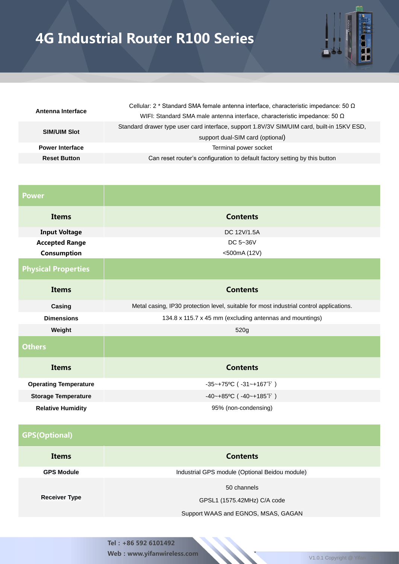

| Antenna Interface      | Cellular: 2 $*$ Standard SMA female antenna interface, characteristic impedance: 50 $\Omega$ |  |  |  |
|------------------------|----------------------------------------------------------------------------------------------|--|--|--|
|                        | WIFI: Standard SMA male antenna interface, characteristic impedance: 50 $\Omega$             |  |  |  |
|                        | Standard drawer type user card interface, support 1.8V/3V SIM/UIM card, built-in 15KV ESD,   |  |  |  |
| <b>SIM/UIM Slot</b>    | support dual-SIM card (optional)                                                             |  |  |  |
| <b>Power Interface</b> | Terminal power socket                                                                        |  |  |  |
| <b>Reset Button</b>    | Can reset router's configuration to default factory setting by this button                   |  |  |  |

| <b>Power</b>                 |                                                                                         |  |  |  |  |  |  |
|------------------------------|-----------------------------------------------------------------------------------------|--|--|--|--|--|--|
| <b>Items</b>                 | <b>Contents</b>                                                                         |  |  |  |  |  |  |
| <b>Input Voltage</b>         | DC 12V/1.5A                                                                             |  |  |  |  |  |  |
| <b>Accepted Range</b>        | DC 5~36V                                                                                |  |  |  |  |  |  |
| Consumption                  | <500mA (12V)                                                                            |  |  |  |  |  |  |
| <b>Physical Properties</b>   |                                                                                         |  |  |  |  |  |  |
| <b>Items</b>                 | <b>Contents</b>                                                                         |  |  |  |  |  |  |
| Casing                       | Metal casing, IP30 protection level, suitable for most industrial control applications. |  |  |  |  |  |  |
| <b>Dimensions</b>            | 134.8 x 115.7 x 45 mm (excluding antennas and mountings)                                |  |  |  |  |  |  |
| Weight                       | 520g                                                                                    |  |  |  |  |  |  |
| <b>Others</b>                |                                                                                         |  |  |  |  |  |  |
| <b>Items</b>                 | <b>Contents</b>                                                                         |  |  |  |  |  |  |
| <b>Operating Temperature</b> | $-35$ ~+75°C ( $-31$ ~+167°F)                                                           |  |  |  |  |  |  |
| <b>Storage Temperature</b>   | $-40$ ~+85°C ( $-40$ ~+185°F)                                                           |  |  |  |  |  |  |
| <b>Relative Humidity</b>     | 95% (non-condensing)                                                                    |  |  |  |  |  |  |

#### GPS(Optional)

| Items                | <b>Contents</b>                                |  |  |  |  |  |
|----------------------|------------------------------------------------|--|--|--|--|--|
| <b>GPS Module</b>    | Industrial GPS module (Optional Beidou module) |  |  |  |  |  |
| <b>Receiver Type</b> | 50 channels<br>GPSL1 (1575.42MHz) C/A code     |  |  |  |  |  |
|                      | Support WAAS and EGNOS, MSAS, GAGAN            |  |  |  |  |  |

Web:www.yifanwireless.com V1.0.1 Copyright @ Yifan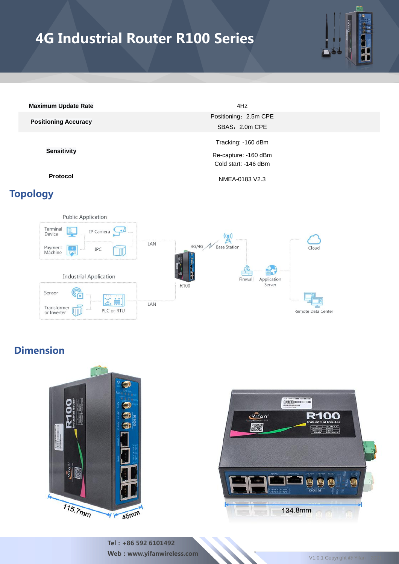

| <b>Maximum Update Rate</b>  | 4Hz                                          |
|-----------------------------|----------------------------------------------|
| <b>Positioning Accuracy</b> | Positioning: 2.5m CPE<br>SBAS: 2.0m CPE      |
| <b>Sensitivity</b>          | Tracking: -160 dBm                           |
|                             | Re-capture: -160 dBm<br>Cold start: -146 dBm |
|                             |                                              |

Topology

**Protocol** NMEA-0183 V2.3



### Dimension





Tel:+86 592 6101492 Web : www.yifanwireless.com V1.0.1 Copyright @ Yifan